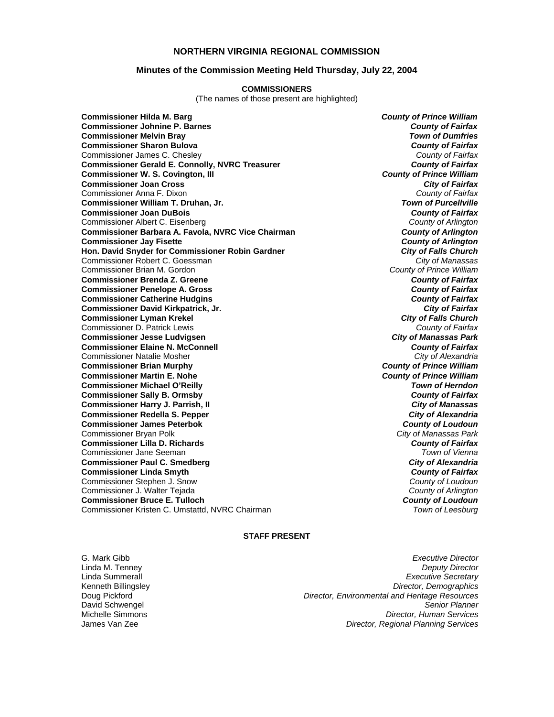### **NORTHERN VIRGINIA REGIONAL COMMISSION**

### **Minutes of the Commission Meeting Held Thursday, July 22, 2004**

#### **COMMISSIONERS**

(The names of those present are highlighted)

**Commissioner Hilda M. Barg** *County of Prince William* **Commissioner Johnine P. Barnes** *County of Fairfax* **Commissioner Melvin Bray Commissioner Sharon Bulova** *County of Fairfax* Commissioner James C. Chesley *County of Fairfax* **Commissioner Gerald E. Connolly, NVRC Treasurer** *County of Fairfax* **Commissioner W. S. Covington, III Commissioner Joan Cross** *City of Fairfax* Commissioner Anna F. Dixon *County of Fairfax* **Commissioner William T. Druhan, Jr.** *Town of Purcellville* **Commissioner Joan DuBois** *County of Fairfax* Commissioner Albert C. Eisenberg *County of Arlington* **Commissioner Barbara A. Favola, NVRC Vice Chairman** *County of Arlington* **Commissioner Jay Fisette** *County of Arlington* **Hon. David Snyder for Commissioner Robin Gardner** *City of Falls Church* Commissioner Robert C. Goessman *City of Manassas* Commissioner Brian M. Gordon *County of Prince William* **Commissioner Brenda Z. Greene Commissioner Penelope A. Gross** *County of Fairfax* **Commissioner Catherine Hudgins** *County of Fairfax* **Commissioner David Kirkpatrick, Jr.** *City of Fairfax* **Commissioner Lyman Krekel** *City of Falls Church* Commissioner D. Patrick Lewis *County of Fairfax* **Commissioner Jesse Ludvigsen** *City of Manassas Park* **Commissioner Elaine N. McConnell** *County of Fairfax* Commissioner Natalie Mosher *City of Alexandria* **Commissioner Brian Murphy** *County of Prince William* **Commissioner Martin E. Nohe** *County of Prince William* **Commissioner Michael O'Reilly** *Town of Herndon* **Commissioner Sally B. Ormsby** *County of Fairfax* **Commissioner Harry J. Parrish, II Commissioner Redella S. Pepper** *City of Alexandria* **Commissioner James Peterbok** *County of Loudoun* Commissioner Bryan Polk *City of Manassas Park* **Commissioner Lilla D. Richards** *County of Fairfax* Commissioner Jane Seeman *Town of Vienna* **Commissioner Paul C. Smedberg Commissioner Linda Smyth** *County of Fairfax* Commissioner Stephen J. Snow *County of Loudoun* Commissioner J. Walter Tejada *County of Arlington* **Commissioner Bruce E. Tulloch** *County of Loudoun* Commissioner Kristen C. Umstattd, NVRC Chairman

#### **STAFF PRESENT**

G. Mark Gibb *Executive Director* Linda M. Tenney *Deputy Director* **Executive Secretary** Kenneth Billingsley *Director, Demographics* Doug Pickford *Director, Environmental and Heritage Resources* David Schwengel *Senior Planner* Michelle Simmons *Director, Human Services* James Van Zee *Director, Regional Planning Services*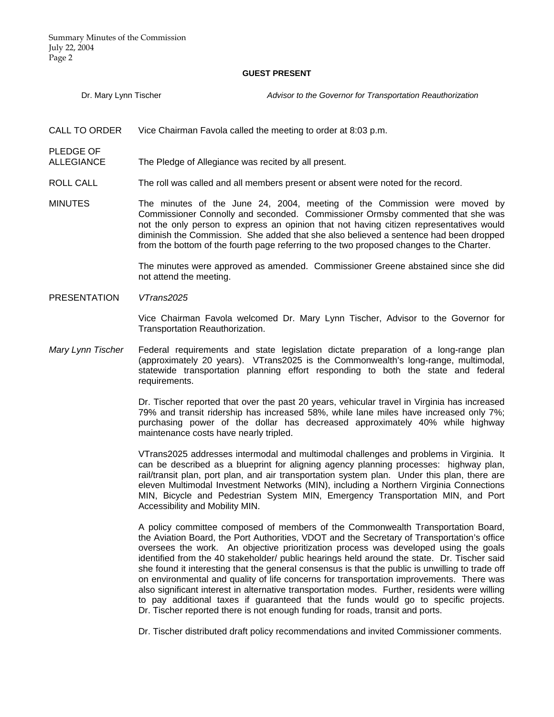#### **GUEST PRESENT**

Dr. Mary Lynn Tischer *Advisor to the Governor for Transportation Reauthorization*

CALL TO ORDER Vice Chairman Favola called the meeting to order at 8:03 p.m.

PLEDGE OF

ALLEGIANCE The Pledge of Allegiance was recited by all present.

- ROLL CALL The roll was called and all members present or absent were noted for the record.
- MINUTES The minutes of the June 24, 2004, meeting of the Commission were moved by Commissioner Connolly and seconded. Commissioner Ormsby commented that she was not the only person to express an opinion that not having citizen representatives would diminish the Commission. She added that she also believed a sentence had been dropped from the bottom of the fourth page referring to the two proposed changes to the Charter.

 The minutes were approved as amended. Commissioner Greene abstained since she did not attend the meeting.

PRESENTATION *VTrans2025* 

 Vice Chairman Favola welcomed Dr. Mary Lynn Tischer, Advisor to the Governor for Transportation Reauthorization.

*Mary Lynn Tischer* Federal requirements and state legislation dictate preparation of a long-range plan (approximately 20 years). VTrans2025 is the Commonwealth's long-range, multimodal, statewide transportation planning effort responding to both the state and federal requirements.

> Dr. Tischer reported that over the past 20 years, vehicular travel in Virginia has increased 79% and transit ridership has increased 58%, while lane miles have increased only 7%; purchasing power of the dollar has decreased approximately 40% while highway maintenance costs have nearly tripled.

> VTrans2025 addresses intermodal and multimodal challenges and problems in Virginia. It can be described as a blueprint for aligning agency planning processes: highway plan, rail/transit plan, port plan, and air transportation system plan. Under this plan, there are eleven Multimodal Investment Networks (MIN), including a Northern Virginia Connections MIN, Bicycle and Pedestrian System MIN, Emergency Transportation MIN, and Port Accessibility and Mobility MIN.

> A policy committee composed of members of the Commonwealth Transportation Board, the Aviation Board, the Port Authorities, VDOT and the Secretary of Transportation's office oversees the work. An objective prioritization process was developed using the goals identified from the 40 stakeholder/ public hearings held around the state. Dr. Tischer said she found it interesting that the general consensus is that the public is unwilling to trade off on environmental and quality of life concerns for transportation improvements. There was also significant interest in alternative transportation modes. Further, residents were willing to pay additional taxes if guaranteed that the funds would go to specific projects. Dr. Tischer reported there is not enough funding for roads, transit and ports.

Dr. Tischer distributed draft policy recommendations and invited Commissioner comments.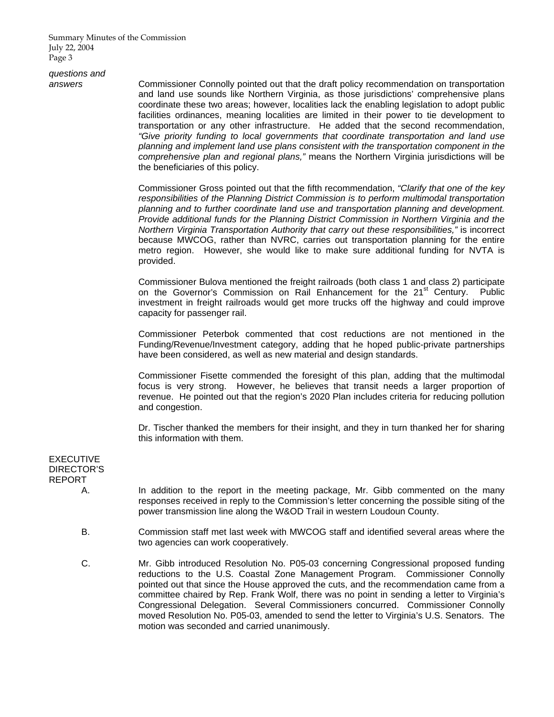Summary Minutes of the Commission July 22, 2004 Page 3

*questions and* 

*answers* Commissioner Connolly pointed out that the draft policy recommendation on transportation and land use sounds like Northern Virginia, as those jurisdictions' comprehensive plans coordinate these two areas; however, localities lack the enabling legislation to adopt public facilities ordinances, meaning localities are limited in their power to tie development to transportation or any other infrastructure. He added that the second recommendation, *"Give priority funding to local governments that coordinate transportation and land use planning and implement land use plans consistent with the transportation component in the comprehensive plan and regional plans,"* means the Northern Virginia jurisdictions will be the beneficiaries of this policy.

> Commissioner Gross pointed out that the fifth recommendation, *"Clarify that one of the key responsibilities of the Planning District Commission is to perform multimodal transportation planning and to further coordinate land use and transportation planning and development. Provide additional funds for the Planning District Commission in Northern Virginia and the Northern Virginia Transportation Authority that carry out these responsibilities,"* is incorrect because MWCOG, rather than NVRC, carries out transportation planning for the entire metro region. However, she would like to make sure additional funding for NVTA is provided.

> Commissioner Bulova mentioned the freight railroads (both class 1 and class 2) participate on the Governor's Commission on Rail Enhancement for the 21<sup>st</sup> Century. Public investment in freight railroads would get more trucks off the highway and could improve capacity for passenger rail.

> Commissioner Peterbok commented that cost reductions are not mentioned in the Funding/Revenue/Investment category, adding that he hoped public-private partnerships have been considered, as well as new material and design standards.

> Commissioner Fisette commended the foresight of this plan, adding that the multimodal focus is very strong. However, he believes that transit needs a larger proportion of revenue. He pointed out that the region's 2020 Plan includes criteria for reducing pollution and congestion.

> Dr. Tischer thanked the members for their insight, and they in turn thanked her for sharing this information with them.

# EXECUTIVE DIRECTOR'S REPORT

- A. In addition to the report in the meeting package, Mr. Gibb commented on the many responses received in reply to the Commission's letter concerning the possible siting of the power transmission line along the W&OD Trail in western Loudoun County.
- B. Commission staff met last week with MWCOG staff and identified several areas where the two agencies can work cooperatively.
- C. Mr. Gibb introduced Resolution No. P05-03 concerning Congressional proposed funding reductions to the U.S. Coastal Zone Management Program. Commissioner Connolly pointed out that since the House approved the cuts, and the recommendation came from a committee chaired by Rep. Frank Wolf, there was no point in sending a letter to Virginia's Congressional Delegation. Several Commissioners concurred. Commissioner Connolly moved Resolution No. P05-03, amended to send the letter to Virginia's U.S. Senators. The motion was seconded and carried unanimously.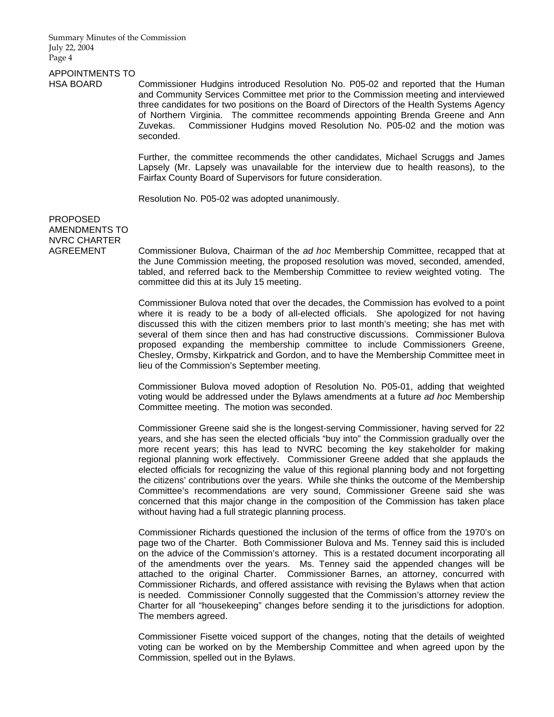Summary Minutes of the Commission July 22, 2004 Page 4

# APPOINTMENTS TO

HSA BOARD Commissioner Hudgins introduced Resolution No. P05-02 and reported that the Human and Community Services Committee met prior to the Commission meeting and interviewed three candidates for two positions on the Board of Directors of the Health Systems Agency of Northern Virginia. The committee recommends appointing Brenda Greene and Ann Zuvekas. Commissioner Hudgins moved Resolution No. P05-02 and the motion was seconded.

> Further, the committee recommends the other candidates, Michael Scruggs and James Lapsely (Mr. Lapsely was unavailable for the interview due to health reasons), to the Fairfax County Board of Supervisors for future consideration.

Resolution No. P05-02 was adopted unanimously.

PROPOSED AMENDMENTS TO NVRC CHARTER

AGREEMENT Commissioner Bulova, Chairman of the *ad hoc* Membership Committee, recapped that at the June Commission meeting, the proposed resolution was moved, seconded, amended, tabled, and referred back to the Membership Committee to review weighted voting. The committee did this at its July 15 meeting.

> Commissioner Bulova noted that over the decades, the Commission has evolved to a point where it is ready to be a body of all-elected officials. She apologized for not having discussed this with the citizen members prior to last month's meeting; she has met with several of them since then and has had constructive discussions. Commissioner Bulova proposed expanding the membership committee to include Commissioners Greene, Chesley, Ormsby, Kirkpatrick and Gordon, and to have the Membership Committee meet in lieu of the Commission's September meeting.

> Commissioner Bulova moved adoption of Resolution No. P05-01, adding that weighted voting would be addressed under the Bylaws amendments at a future *ad hoc* Membership Committee meeting. The motion was seconded.

> Commissioner Greene said she is the longest-serving Commissioner, having served for 22 years, and she has seen the elected officials "buy into" the Commission gradually over the more recent years; this has lead to NVRC becoming the key stakeholder for making regional planning work effectively. Commissioner Greene added that she applauds the elected officials for recognizing the value of this regional planning body and not forgetting the citizens' contributions over the years. While she thinks the outcome of the Membership Committee's recommendations are very sound, Commissioner Greene said she was concerned that this major change in the composition of the Commission has taken place without having had a full strategic planning process.

> Commissioner Richards questioned the inclusion of the terms of office from the 1970's on page two of the Charter. Both Commissioner Bulova and Ms. Tenney said this is included on the advice of the Commission's attorney. This is a restated document incorporating all of the amendments over the years. Ms. Tenney said the appended changes will be attached to the original Charter. Commissioner Barnes, an attorney, concurred with Commissioner Richards, and offered assistance with revising the Bylaws when that action is needed. Commissioner Connolly suggested that the Commission's attorney review the Charter for all "housekeeping" changes before sending it to the jurisdictions for adoption. The members agreed.

> Commissioner Fisette voiced support of the changes, noting that the details of weighted voting can be worked on by the Membership Committee and when agreed upon by the Commission, spelled out in the Bylaws.